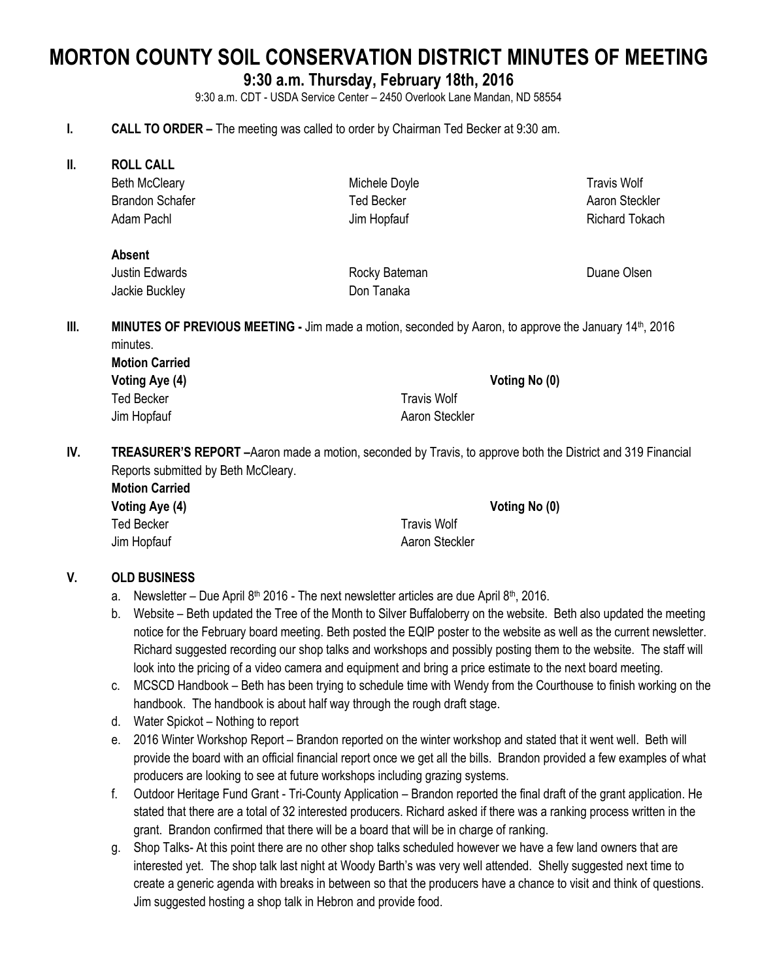# **MORTON COUNTY SOIL CONSERVATION DISTRICT MINUTES OF MEETING**

## **9:30 a.m. Thursday, February 18th, 2016**

9:30 a.m. CDT - USDA Service Center – 2450 Overlook Lane Mandan, ND 58554

#### **I. CALL TO ORDER –** The meeting was called to order by Chairman Ted Becker at 9:30 am.

**II. ROLL CALL**

Beth McCleary Brandon Schafer Adam Pachl

Michele Doyle Ted Becker Jim Hopfauf

Travis Wolf Aaron Steckler Richard Tokach

#### **Absent** Justin Edwards Jackie Buckley

Rocky Bateman Don Tanaka

Duane Olsen

**III. MINUTES OF PREVIOUS MEETING - Jim made a motion, seconded by Aaron, to approve the January 14th, 2016** minutes.

**Motion Carried** Ted Becker Travis Wolf

**Voting Aye (4) Voting No (0)**

Jim Hopfauf **Aaron Steckler** Aaron Steckler

**IV. TREASURER'S REPORT –**Aaron made a motion, seconded by Travis, to approve both the District and 319 Financial Reports submitted by Beth McCleary. **Motion Carried**

| mouon Carned   |                |
|----------------|----------------|
| Voting Aye (4) | Voting No (0)  |
| Ted Becker     | Travis Wolf    |
| Jim Hopfauf    | Aaron Steckler |

## **V. OLD BUSINESS**

- a. Newsletter Due April 8<sup>th</sup> 2016 The next newsletter articles are due April 8<sup>th</sup>, 2016.
- b. Website Beth updated the Tree of the Month to Silver Buffaloberry on the website. Beth also updated the meeting notice for the February board meeting. Beth posted the EQIP poster to the website as well as the current newsletter. Richard suggested recording our shop talks and workshops and possibly posting them to the website. The staff will look into the pricing of a video camera and equipment and bring a price estimate to the next board meeting.
- c. MCSCD Handbook Beth has been trying to schedule time with Wendy from the Courthouse to finish working on the handbook. The handbook is about half way through the rough draft stage.
- d. Water Spickot Nothing to report
- e. 2016 Winter Workshop Report Brandon reported on the winter workshop and stated that it went well. Beth will provide the board with an official financial report once we get all the bills. Brandon provided a few examples of what producers are looking to see at future workshops including grazing systems.
- f. Outdoor Heritage Fund Grant Tri-County Application Brandon reported the final draft of the grant application. He stated that there are a total of 32 interested producers. Richard asked if there was a ranking process written in the grant. Brandon confirmed that there will be a board that will be in charge of ranking.
- g. Shop Talks- At this point there are no other shop talks scheduled however we have a few land owners that are interested yet. The shop talk last night at Woody Barth's was very well attended. Shelly suggested next time to create a generic agenda with breaks in between so that the producers have a chance to visit and think of questions. Jim suggested hosting a shop talk in Hebron and provide food.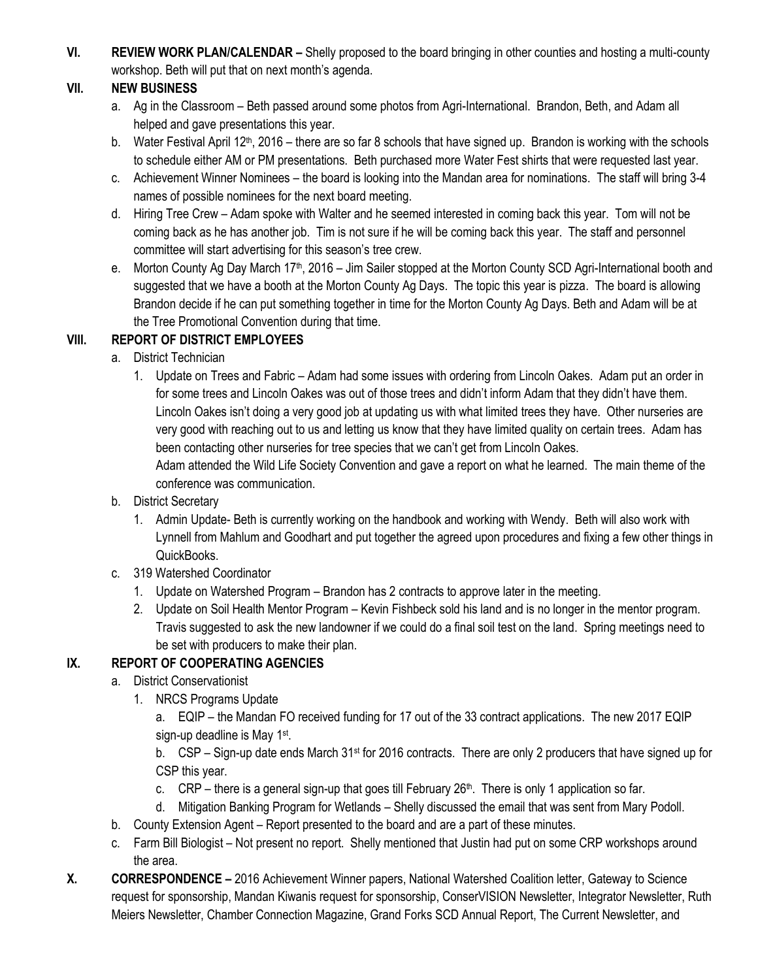**VI. REVIEW WORK PLAN/CALENDAR –** Shelly proposed to the board bringing in other counties and hosting a multi-county workshop. Beth will put that on next month's agenda.

# **VII. NEW BUSINESS**

- a. Ag in the Classroom Beth passed around some photos from Agri-International. Brandon, Beth, and Adam all helped and gave presentations this year.
- b. Water Festival April 12<sup>th</sup>, 2016 there are so far 8 schools that have signed up. Brandon is working with the schools to schedule either AM or PM presentations. Beth purchased more Water Fest shirts that were requested last year.
- c. Achievement Winner Nominees the board is looking into the Mandan area for nominations. The staff will bring 3-4 names of possible nominees for the next board meeting.
- d. Hiring Tree Crew Adam spoke with Walter and he seemed interested in coming back this year. Tom will not be coming back as he has another job. Tim is not sure if he will be coming back this year. The staff and personnel committee will start advertising for this season's tree crew.
- e. Morton County Ag Day March 17<sup>th</sup>, 2016 Jim Sailer stopped at the Morton County SCD Agri-International booth and suggested that we have a booth at the Morton County Ag Days. The topic this year is pizza. The board is allowing Brandon decide if he can put something together in time for the Morton County Ag Days. Beth and Adam will be at the Tree Promotional Convention during that time.

# **VIII. REPORT OF DISTRICT EMPLOYEES**

- a. District Technician
	- 1. Update on Trees and Fabric Adam had some issues with ordering from Lincoln Oakes. Adam put an order in for some trees and Lincoln Oakes was out of those trees and didn't inform Adam that they didn't have them. Lincoln Oakes isn't doing a very good job at updating us with what limited trees they have. Other nurseries are very good with reaching out to us and letting us know that they have limited quality on certain trees. Adam has been contacting other nurseries for tree species that we can't get from Lincoln Oakes.

Adam attended the Wild Life Society Convention and gave a report on what he learned. The main theme of the conference was communication.

- b. District Secretary
	- 1. Admin Update- Beth is currently working on the handbook and working with Wendy. Beth will also work with Lynnell from Mahlum and Goodhart and put together the agreed upon procedures and fixing a few other things in QuickBooks.
- c. 319 Watershed Coordinator
	- 1. Update on Watershed Program Brandon has 2 contracts to approve later in the meeting.
	- 2. Update on Soil Health Mentor Program Kevin Fishbeck sold his land and is no longer in the mentor program. Travis suggested to ask the new landowner if we could do a final soil test on the land. Spring meetings need to be set with producers to make their plan.

# **IX. REPORT OF COOPERATING AGENCIES**

- a. District Conservationist
	- 1. NRCS Programs Update

a. EQIP – the Mandan FO received funding for 17 out of the 33 contract applications. The new 2017 EQIP sign-up deadline is May 1<sup>st</sup>.

b. CSP – Sign-up date ends March 31<sup>st</sup> for 2016 contracts. There are only 2 producers that have signed up for CSP this year.

- c. CRP there is a general sign-up that goes till February  $26<sup>th</sup>$ . There is only 1 application so far.
- d. Mitigation Banking Program for Wetlands Shelly discussed the email that was sent from Mary Podoll.
- b. County Extension Agent Report presented to the board and are a part of these minutes.
- c. Farm Bill Biologist Not present no report. Shelly mentioned that Justin had put on some CRP workshops around the area.
- **X. CORRESPONDENCE –** 2016 Achievement Winner papers, National Watershed Coalition letter, Gateway to Science request for sponsorship, Mandan Kiwanis request for sponsorship, ConserVISION Newsletter, Integrator Newsletter, Ruth Meiers Newsletter, Chamber Connection Magazine, Grand Forks SCD Annual Report, The Current Newsletter, and